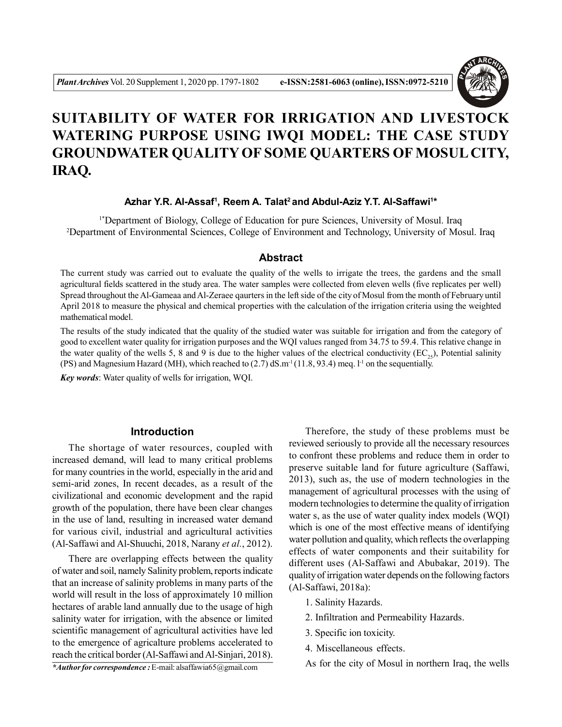

# **SUITABILITY OF WATER FOR IRRIGATION AND LIVESTOCK WATERING PURPOSE USING IWQI MODEL: THE CASE STUDY GROUNDWATER QUALITY OF SOME QUARTERS OF MOSUL CITY, IRAQ.**

#### **Azhar Y.R. Al-Assaf<sup>1</sup> , Reem A. Talat<sup>2</sup>and Abdul-Aziz Y.T. Al-Saffawi<sup>1</sup> \***

1\*Department of Biology, College of Education for pure Sciences, University of Mosul. Iraq <sup>2</sup>Department of Environmental Sciences, College of Environment and Technology, University of Mosul. Iraq

## **Abstract**

The current study was carried out to evaluate the quality of the wells to irrigate the trees, the gardens and the small agricultural fields scattered in the study area. The water samples were collected from eleven wells (five replicates per well) Spread throughout the Al-Gameaa and Al-Zeraee qaurters in the left side of the city of Mosul from the month of February until April 2018 to measure the physical and chemical properties with the calculation of the irrigation criteria using the weighted mathematical model.

The results of the study indicated that the quality of the studied water was suitable for irrigation and from the category of good to excellent water quality for irrigation purposes and the WQI values ranged from 34.75 to 59.4. This relative change in the water quality of the wells 5, 8 and 9 is due to the higher values of the electrical conductivity ( $EC_5$ ), Potential salinity (PS) and Magnesium Hazard (MH), which reached to (2.7) dS.m<sup>-1</sup> (11.8, 93.4) meq. 1<sup>-1</sup> on the sequentially.

*Key words*: Water quality of wells for irrigation, WQI.

### **Introduction**

The shortage of water resources, coupled with increased demand, will lead to many critical problems for many countries in the world, especially in the arid and semi-arid zones, In recent decades, as a result of the civilizational and economic development and the rapid growth of the population, there have been clear changes in the use of land, resulting in increased water demand for various civil, industrial and agricultural activities (Al-Saffawi and Al-Shuuchi, 2018, Narany *et al.*, 2012).

There are overlapping effects between the quality of water and soil, namely Salinity problem, reports indicate that an increase of salinity problems in many parts of the world will result in the loss of approximately 10 million hectares of arable land annually due to the usage of high salinity water for irrigation, with the absence or limited scientific management of agricultural activities have led to the emergence of agricalture problems accelerated to reach the critical border (Al-Saffawi and Al-Sinjari, 2018).

Therefore, the study of these problems must be reviewed seriously to provide all the necessary resources to confront these problems and reduce them in order to preserve suitable land for future agriculture (Saffawi, 2013), such as, the use of modern technologies in the management of agricultural processes with the using of modern technologies to determine the quality of irrigation water s, as the use of water quality index models (WQI) which is one of the most effective means of identifying water pollution and quality, which reflects the overlapping effects of water components and their suitability for different uses (Al-Saffawi and Abubakar, 2019). The quality of irrigation water depends on the following factors (Al-Saffawi, 2018a):

- 1. Salinity Hazards.
- 2. Infiltration and Permeability Hazards.
- 3. Specific ion toxicity.
- 4. Miscellaneous effects.

As for the city of Mosul in northern Iraq, the wells

*\*Author for correspondence :* E-mail: alsaffawia65@gmail.com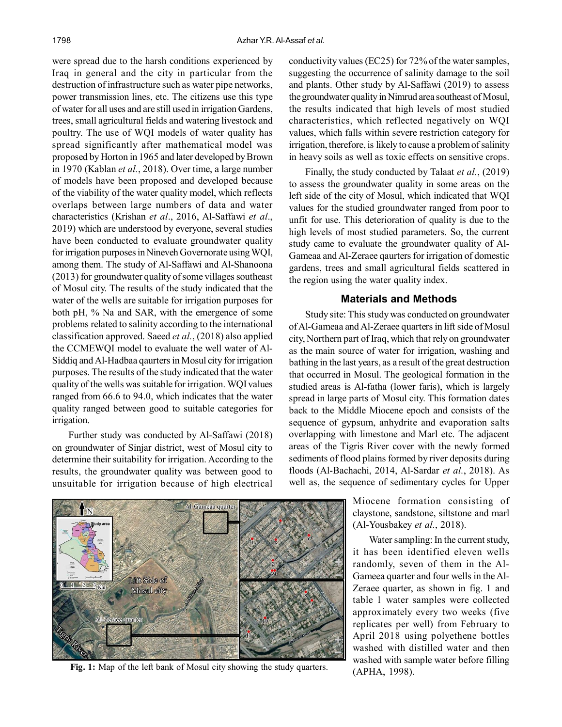were spread due to the harsh conditions experienced by Iraq in general and the city in particular from the destruction of infrastructure such as water pipe networks, power transmission lines, etc. The citizens use this type of water for all uses and are still used in irrigation Gardens, trees, small agricultural fields and watering livestock and poultry. The use of WQI models of water quality has spread significantly after mathematical model was proposed by Horton in 1965 and later developed by Brown in 1970 (Kablan *et al.*, 2018). Over time, a large number of models have been proposed and developed because of the viability of the water quality model, which reflects overlaps between large numbers of data and water characteristics (Krishan *et al*., 2016, Al-Saffawi *et al*., 2019) which are understood by everyone, several studies have been conducted to evaluate groundwater quality for irrigation purposes in Nineveh Governorate using WQI, among them. The study of Al-Saffawi and Al-Shanoona (2013) for groundwater quality of some villages southeast of Mosul city. The results of the study indicated that the water of the wells are suitable for irrigation purposes for both pH, % Na and SAR, with the emergence of some problems related to salinity according to the international classification approved. Saeed *et al.*, (2018) also applied the CCMEWQI model to evaluate the well water of Al-Siddiq and Al-Hadbaa qaurters in Mosul city for irrigation purposes. The results of the study indicated that the water quality of the wells was suitable for irrigation. WQI values ranged from 66.6 to 94.0, which indicates that the water quality ranged between good to suitable categories for irrigation.

Further study was conducted by Al-Saffawi (2018) on groundwater of Sinjar district, west of Mosul city to determine their suitability for irrigation. According to the results, the groundwater quality was between good to unsuitable for irrigation because of high electrical conductivity values (EC25) for 72% of the water samples, suggesting the occurrence of salinity damage to the soil and plants. Other study by Al-Saffawi (2019) to assess the groundwater quality in Nimrud area southeast of Mosul, the results indicated that high levels of most studied characteristics, which reflected negatively on WQI values, which falls within severe restriction category for irrigation, therefore, is likely to cause a problem of salinity in heavy soils as well as toxic effects on sensitive crops.

Finally, the study conducted by Talaat *et al.*, (2019) to assess the groundwater quality in some areas on the left side of the city of Mosul, which indicated that WQI values for the studied groundwater ranged from poor to unfit for use. This deterioration of quality is due to the high levels of most studied parameters. So, the current study came to evaluate the groundwater quality of Al-Gameaa and Al-Zeraee qaurters for irrigation of domestic gardens, trees and small agricultural fields scattered in the region using the water quality index.

#### **Materials and Methods**

Study site: This study was conducted on groundwater of Al-Gameaa and Al-Zeraee quarters in lift side of Mosul city, Northern part of Iraq, which that rely on groundwater as the main source of water for irrigation, washing and bathing in the last years, as a result of the great destruction that occurred in Mosul. The geological formation in the studied areas is Al-fatha (lower faris), which is largely spread in large parts of Mosul city. This formation dates back to the Middle Miocene epoch and consists of the sequence of gypsum, anhydrite and evaporation salts overlapping with limestone and Marl etc. The adjacent areas of the Tigris River cover with the newly formed sediments of flood plains formed by river deposits during floods (Al-Bachachi, 2014, Al-Sardar *et al.*, 2018). As well as, the sequence of sedimentary cycles for Upper



**Fig. 1:** Map of the left bank of Mosul city showing the study quarters.

Miocene formation consisting of claystone, sandstone, siltstone and marl (Al-Yousbakey *et al.*, 2018).

Water sampling: In the current study, it has been identified eleven wells randomly, seven of them in the Al-Gameea quarter and four wells in the Al-Zeraee quarter, as shown in fig. 1 and table 1 water samples were collected approximately every two weeks (five replicates per well) from February to April 2018 using polyethene bottles washed with distilled water and then washed with sample water before filling (APHA, 1998).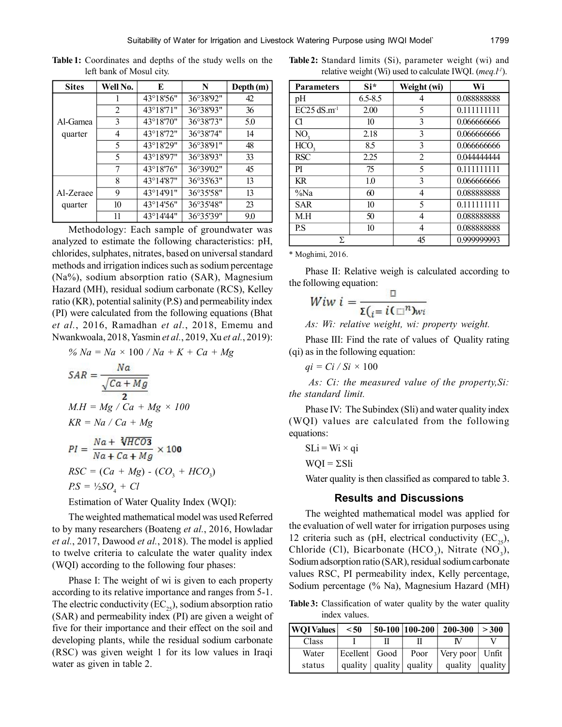| <b>Sites</b> | Well No. | E                   | N         | Depth (m) |  |
|--------------|----------|---------------------|-----------|-----------|--|
|              |          | 43°18'56"           | 36°38'92" | 42        |  |
|              | 2        | 43°18'71"           | 36°38'93" | 36        |  |
| Al-Gamea     | 3        | 43°18'70"           | 36°38'73" | 5.0       |  |
| quarter      | 4        | 43°18'72"           | 36°38'74" | 14        |  |
|              | 5        | 43°18'29"           | 36°38'91" | 48        |  |
|              | 5        | 43°18'97"           | 36°38'93" | 33        |  |
|              | 7        | 43°18'76"           | 36°39'02" | 45        |  |
|              | 8        | $43^{\circ}14'87''$ | 36°35'63" | 13        |  |
| Al-Zeraee    | 9        | 43°14'91"           | 36°35'58" | 13        |  |
| quarter      | 10       | 43°14'56"           | 36°35'48" | 23        |  |
|              | 11       | 43°14'44"           | 36°35'39" | 9.0       |  |

**Table 1:** Coordinates and depths of the study wells on the left bank of Mosul city.

Methodology: Each sample of groundwater was analyzed to estimate the following characteristics: pH, chlorides, sulphates, nitrates, based on universal standard methods and irrigation indices such as sodium percentage (Na%), sodium absorption ratio (SAR), Magnesium Hazard (MH), residual sodium carbonate (RCS), Kelley ratio (KR), potential salinity (P.S) and permeability index (PI) were calculated from the following equations (Bhat *et al.*, 2016, Ramadhan *et al.*, 2018, Ememu and Nwankwoala, 2018, Yasmin *et al.*, 2019, Xu *et al.*, 2019):

% Na = Na × 100 / Na + K + Ca + Mg  
\n
$$
SAR = \frac{Na}{\sqrt{Ca + Mg}}
$$
\n
$$
M.H = Mg / Ca + Mg \times 100
$$
\n
$$
KR = Na / Ca + Mg
$$
\n
$$
PI = \frac{Na + \sqrt[3]{HCO3}}{Na + Ca + Mg} \times 100
$$
\n
$$
RSC = (Ca + Mg) - (CO3 + HCO3)
$$
\n
$$
PS = \frac{V_2}{SO_4} + Cl
$$

Estimation of Water Quality Index (WQI):

The weighted mathematical model was used Referred to by many researchers (Boateng *et al.*, 2016, Howladar *et al.*, 2017, Dawood *et al.*, 2018). The model is applied to twelve criteria to calculate the water quality index (WQI) according to the following four phases:

Phase I: The weight of wi is given to each property according to its relative importance and ranges from 5-1. The electric conductivity  $(EC_{25})$ , sodium absorption ratio (SAR) and permeability index (PI) are given a weight of five for their importance and their effect on the soil and developing plants, while the residual sodium carbonate (RSC) was given weight 1 for its low values in Iraqi water as given in table 2.

|  |  | <b>Table 2:</b> Standard limits (Si), parameter weight (wi) and |  |  |
|--|--|-----------------------------------------------------------------|--|--|
|  |  | relative weight (Wi) used to calculate IWQI. $(meq.11)$ .       |  |  |

| <b>Parameters</b>         | Si*         | Weight (wi)    | Wi          |  |  |
|---------------------------|-------------|----------------|-------------|--|--|
| pH                        | $6.5 - 8.5$ | 4              | 0.088888888 |  |  |
| $EC25$ dS.m <sup>-1</sup> | 2.00        | 5              | 0.111111111 |  |  |
| Cl                        | 10          | 3              | 0.066666666 |  |  |
| NO <sub>3</sub>           | 2.18        | 3              | 0.066666666 |  |  |
| HCO <sub>3</sub>          | 8.5         | 3              | 0.066666666 |  |  |
| <b>RSC</b>                | 2.25        | $\overline{2}$ | 0.044444444 |  |  |
| PI                        | 75          | 5              | 0.111111111 |  |  |
| <b>KR</b>                 | 1.0         | 3              | 0.066666666 |  |  |
| %Na                       | 60          | 4              | 0.088888888 |  |  |
| <b>SAR</b>                | 10          | 5              | 0.111111111 |  |  |
| M.H                       | 50          | 4              | 0.088888888 |  |  |
| P.S                       | 10          | $\overline{4}$ | 0.088888888 |  |  |
| Σ                         |             | 45             | 0.999999993 |  |  |

\* Moghimi, 2016.

Phase II: Relative weigh is calculated according to the following equation:

$$
Wiw\ i=\frac{u}{\Sigma(i=i(\square^n)w_i)}
$$

*As: Wi: relative weight, wi: property weight.*

Phase III: Find the rate of values of Quality rating (qi) as in the following equation:

$$
qi = Ci / Si \times 100
$$

*As: Ci: the measured value of the property,Si: the standard limit.*

Phase IV: The Subindex (Sli) and water quality index (WQI) values are calculated from the following equations:

$$
SLi = Wi \times qi
$$

$$
WQI = \Sigma Sli
$$

Water quality is then classified as compared to table 3.

#### **Results and Discussions**

The weighted mathematical model was applied for the evaluation of well water for irrigation purposes using 12 criteria such as (pH, electrical conductivity  $(EC_{25})$ , Chloride (Cl), Bicarbonate (HCO<sub>3</sub>), Nitrate (NO<sub>3</sub>), Sodium adsorption ratio (SAR), residual sodium carbonate values RSC, PI permeability index, Kelly percentage, Sodium percentage (% Na), Magnesium Hazard (MH)

**Table 3:** Classification of water quality by the water quality index values.

| WQIValues | < 50          |                             | $50-100$   100-200 | 200-300         | > 300   |
|-----------|---------------|-----------------------------|--------------------|-----------------|---------|
| Class     |               |                             |                    |                 |         |
| Water     | Ecellent Good |                             | Poor               | Very poor Unfit |         |
| status    |               | quality   quality   quality |                    | quality         | quality |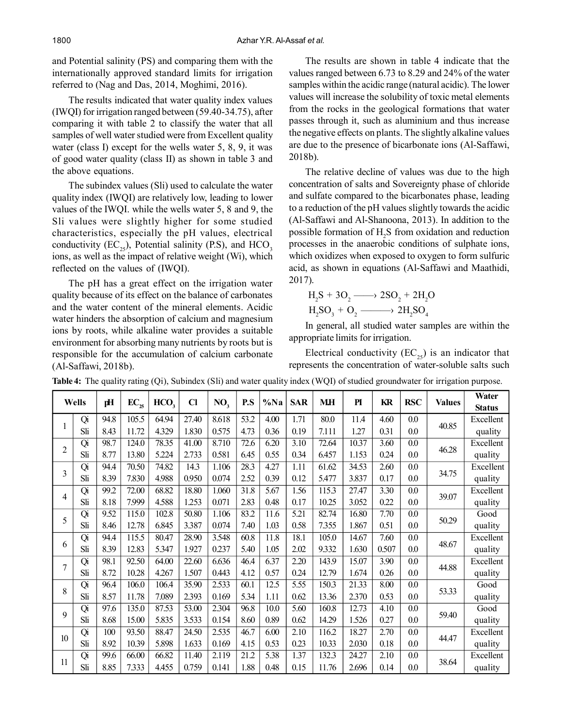and Potential salinity (PS) and comparing them with the internationally approved standard limits for irrigation referred to (Nag and Das, 2014, Moghimi, 2016).

The results indicated that water quality index values (IWQI) for irrigation ranged between (59.40-34.75), after comparing it with table 2 to classify the water that all samples of well water studied were from Excellent quality water (class I) except for the wells water 5, 8, 9, it was of good water quality (class II) as shown in table 3 and the above equations.

The subindex values (Sli) used to calculate the water quality index (IWQI) are relatively low, leading to lower values of the IWQI. while the wells water 5, 8 and 9, the Sli values were slightly higher for some studied characteristics, especially the pH values, electrical conductivity  $(EC_{25})$ , Potential salinity (P.S), and HCO<sub>3</sub> ions, as well as the impact of relative weight (Wi), which reflected on the values of (IWQI).

The pH has a great effect on the irrigation water quality because of its effect on the balance of carbonates and the water content of the mineral elements. Acidic water hinders the absorption of calcium and magnesium ions by roots, while alkaline water provides a suitable environment for absorbing many nutrients by roots but is responsible for the accumulation of calcium carbonate (Al-Saffawi, 2018b).

The results are shown in table 4 indicate that the values ranged between 6.73 to 8.29 and 24% of the water samples within the acidic range (natural acidic). The lower values will increase the solubility of toxic metal elements from the rocks in the geological formations that water passes through it, such as aluminium and thus increase the negative effects on plants. The slightly alkaline values are due to the presence of bicarbonate ions (Al-Saffawi, 2018b).

The relative decline of values was due to the high concentration of salts and Sovereignty phase of chloride and sulfate compared to the bicarbonates phase, leading to a reduction of the pH values slightly towards the acidic (Al-Saffawi and Al-Shanoona, 2013). In addition to the possible formation of  $H_2S$  from oxidation and reduction processes in the anaerobic conditions of sulphate ions, which oxidizes when exposed to oxygen to form sulfuric acid, as shown in equations (Al-Saffawi and Maathidi, 2017).

$$
H_2S + 3O_2 \longrightarrow 2SO_2 + 2H_2O
$$
  

$$
H_2SO_3 + O_2 \longrightarrow 2H_2SO_4
$$

In general, all studied water samples are within the appropriate limits for irrigation.

Electrical conductivity  $(EC_{25})$  is an indicator that represents the concentration of water-soluble salts such

| Wells          |     | рH   |           | HCO <sub>3</sub> | $CI$  |                 | P.S  |         |            | MН    | PI    | KR    | <b>RSC</b> | <b>Values</b> | Water         |
|----------------|-----|------|-----------|------------------|-------|-----------------|------|---------|------------|-------|-------|-------|------------|---------------|---------------|
|                |     |      | $EC_{25}$ |                  |       | NO <sub>3</sub> |      | $\%$ Na | <b>SAR</b> |       |       |       |            |               | <b>Status</b> |
|                | Qi  | 94.8 | 105.5     | 64.94            | 27.40 | 8.618           | 53.2 | 4.00    | 1.71       | 80.0  | 11.4  | 4.60  | 0.0        | 40.85         | Excellent     |
|                | Sli | 8.43 | 11.72     | 4.329            | 1.830 | 0.575           | 4.73 | 0.36    | 0.19       | 7.111 | 1.27  | 0.31  | 0.0        |               | quality       |
| $\overline{2}$ | Qi  | 98.7 | 124.0     | 78.35            | 41.00 | 8.710           | 72.6 | 6.20    | 3.10       | 72.64 | 10.37 | 3.60  | 0.0        | 46.28         | Excellent     |
|                | Sli | 8.77 | 13.80     | 5.224            | 2.733 | 0.581           | 6.45 | 0.55    | 0.34       | 6.457 | 1.153 | 0.24  | 0.0        |               | quality       |
| 3              | Qi  | 94.4 | 70.50     | 74.82            | 14.3  | 1.106           | 28.3 | 4.27    | 1.11       | 61.62 | 34.53 | 2.60  | 0.0        | 34.75         | Excellent     |
|                | Sli | 8.39 | 7.830     | 4.988            | 0.950 | 0.074           | 2.52 | 0.39    | 0.12       | 5.477 | 3.837 | 0.17  | 0.0        |               | quality       |
| 4              | Qi  | 99.2 | 72.00     | 68.82            | 18.80 | 1.060           | 31.8 | 5.67    | 1.56       | 115.3 | 27.47 | 3.30  | 0.0        | 39.07         | Excellent     |
|                | Sli | 8.18 | 7.999     | 4.588            | 1.253 | 0.071           | 2.83 | 0.48    | 0.17       | 10.25 | 3.052 | 0.22  | 0.0        |               | quality       |
| 5              | Qi  | 9.52 | 115.0     | 102.8            | 50.80 | 1.106           | 83.2 | 11.6    | 5.21       | 82.74 | 16.80 | 7.70  | 0.0        | 50.29         | Good          |
|                | Sli | 8.46 | 12.78     | 6.845            | 3.387 | 0.074           | 7.40 | 1.03    | 0.58       | 7.355 | 1.867 | 0.51  | 0.0        |               | quality       |
| 6              | Qi  | 94.4 | 115.5     | 80.47            | 28.90 | 3.548           | 60.8 | 11.8    | 18.1       | 105.0 | 14.67 | 7.60  | 0.0        | 48.67         | Excellent     |
|                | Sli | 8.39 | 12.83     | 5.347            | 1.927 | 0.237           | 5.40 | 1.05    | 2.02       | 9.332 | 1.630 | 0.507 | $0.0\,$    |               | quality       |
| 7              | Qi  | 98.1 | 92.50     | 64.00            | 22.60 | 6.636           | 46.4 | 6.37    | 2.20       | 143.9 | 15.07 | 3.90  | 0.0        | 44.88         | Excellent     |
|                | Sli | 8.72 | 10.28     | 4.267            | 1.507 | 0.443           | 4.12 | 0.57    | 0.24       | 12.79 | 1.674 | 0.26  | 0.0        |               | quality       |
| 8              | Qi  | 96.4 | 106.0     | 106.4            | 35.90 | 2.533           | 60.1 | 12.5    | 5.55       | 150.3 | 21.33 | 8.00  | $0.0\,$    | 53.33         | Good          |
|                | Sli | 8.57 | 11.78     | 7.089            | 2.393 | 0.169           | 5.34 | 1.11    | 0.62       | 13.36 | 2.370 | 0.53  | $0.0\,$    |               | quality       |
| 9              | Qi  | 97.6 | 135.0     | 87.53            | 53.00 | 2.304           | 96.8 | 10.0    | 5.60       | 160.8 | 12.73 | 4.10  | $0.0\,$    | 59.40         | Good          |
|                | Sli | 8.68 | 15.00     | 5.835            | 3.533 | 0.154           | 8.60 | 0.89    | 0.62       | 14.29 | 1.526 | 0.27  | $0.0\,$    |               | quality       |
| 10             | Qi  | 100  | 93.50     | 88.47            | 24.50 | 2.535           | 46.7 | 6.00    | 2.10       | 116.2 | 18.27 | 2.70  | $0.0\,$    | 44.47         | Excellent     |
|                | Sli | 8.92 | 10.39     | 5.898            | 1.633 | 0.169           | 4.15 | 0.53    | 0.23       | 10.33 | 2.030 | 0.18  | $0.0\,$    |               | quality       |
| 11             | Qi  | 99.6 | 66.00     | 66.82            | 11.40 | 2.119           | 21.2 | 5.38    | 1.37       | 132.3 | 24.27 | 2.10  | $0.0\,$    | 38.64         | Excellent     |
|                | Sli | 8.85 | 7.333     | 4.455            | 0.759 | 0.141           | 1.88 | 0.48    | 0.15       | 11.76 | 2.696 | 0.14  | $0.0\,$    |               | quality       |

**Table 4:** The quality rating (Qi), Subindex (Sli) and water quality index (WQI) of studied groundwater for irrigation purpose.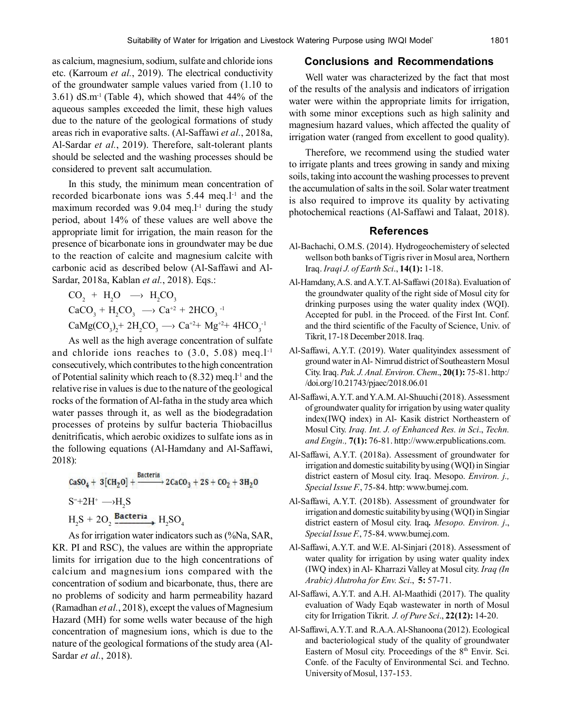as calcium, magnesium, sodium, sulfate and chloride ions etc. (Karroum *et al.*, 2019). The electrical conductivity of the groundwater sample values varied from (1.10 to  $3.61)$  dS.m<sup>-1</sup> (Table 4), which showed that  $44\%$  of the aqueous samples exceeded the limit, these high values due to the nature of the geological formations of study areas rich in evaporative salts. (Al-Saffawi *et al.*, 2018a, Al-Sardar *et al.*, 2019). Therefore, salt-tolerant plants should be selected and the washing processes should be considered to prevent salt accumulation.

In this study, the minimum mean concentration of recorded bicarbonate ions was  $5.44$  meq.l<sup>-1</sup> and the maximum recorded was  $9.04$  meq.l<sup>-1</sup> during the study period, about 14% of these values are well above the appropriate limit for irrigation, the main reason for the presence of bicarbonate ions in groundwater may be due to the reaction of calcite and magnesium calcite with carbonic acid as described below (Al-Saffawi and Al-Sardar, 2018a, Kablan *et al.*, 2018). Eqs.:

 $CO_2 + H_2O \rightarrow H_2CO_3$  $CaCO<sub>3</sub> + H<sub>2</sub>CO<sub>3</sub> \longrightarrow Ca<sup>+2</sup> + 2HCO<sub>3</sub><sup>-1</sup>$  $CaMg(CO<sub>3</sub>)<sub>2</sub> + 2H<sub>2</sub>CO<sub>3</sub> \longrightarrow Ca<sup>+2</sup>+ Mg<sup>+2</sup>+ 4HCO<sub>3</sub><sup>-1</sup>$ 

As well as the high average concentration of sulfate and chloride ions reaches to  $(3.0, 5.08)$  meq.l<sup>-1</sup> consecutively, which contributes to the high concentration of Potential salinity which reach to  $(8.32)$  meq.l<sup>-1</sup> and the relative rise in values is due to the nature of the geological rocks of the formation of Al-fatha in the study area which water passes through it, as well as the biodegradation processes of proteins by sulfur bacteria Thiobacillus denitrificatis, which aerobic oxidizes to sulfate ions as in the following equations (Al-Hamdany and Al-Saffawi, 2018):

$$
CaSO_4 + 3[CH_2O] + \frac{Bacteria}{2} 2CaCO_3 + 2S + CO_2 + 3H_2O
$$
  
S<sup>+</sup>+2H<sup>+</sup>  $\longrightarrow$ H<sub>2</sub>S  
H<sub>2</sub>S + 2O<sub>2</sub>  $\frac{Bacteria}{2} H_2SO_4$ 

As for irrigation water indicators such as (%Na, SAR, KR. PI and RSC), the values are within the appropriate limits for irrigation due to the high concentrations of calcium and magnesium ions compared with the concentration of sodium and bicarbonate, thus, there are no problems of sodicity and harm permeability hazard (Ramadhan *et al.*, 2018), except the values of Magnesium Hazard (MH) for some wells water because of the high concentration of magnesium ions, which is due to the nature of the geological formations of the study area (Al-Sardar *et al.*, 2018).

#### **Conclusions and Recommendations**

Well water was characterized by the fact that most of the results of the analysis and indicators of irrigation water were within the appropriate limits for irrigation, with some minor exceptions such as high salinity and magnesium hazard values, which affected the quality of irrigation water (ranged from excellent to good quality).

Therefore, we recommend using the studied water to irrigate plants and trees growing in sandy and mixing soils, taking into account the washing processes to prevent the accumulation of salts in the soil. Solar water treatment is also required to improve its quality by activating photochemical reactions (Al-Saffawi and Talaat, 2018).

#### **References**

- Al-Bachachi, O.M.S. (2014). Hydrogeochemistery of selected wellson both banks of Tigris river in Mosul area, Northern Iraq. *Iraqi J. of Earth Sci*., **14(1):** 1-18.
- Al-Hamdany, A.S. and A.Y.T. Al-Saffawi (2018a). Evaluation of the groundwater quality of the right side of Mosul city for drinking purposes using the water quality index (WQI). Accepted for publ. in the Proceed. of the First Int. Conf. and the third scientific of the Faculty of Science, Univ. of Tikrit, 17-18 December 2018. Iraq.
- Al-Saffawi, A.Y.T. (2019). Water qualityindex assessment of ground water in Al- Nimrud district of Southeastern Mosul City. Iraq. *Pak. J. Anal. Environ. Chem*., **20(1):** 75-81. http:/ /doi.org/10.21743/pjaec/2018.06.01
- Al-Saffawi, A.Y.T. and Y.A.M. Al-Shuuchi (2018). Assessment of groundwater quality for irrigation by using water quality index(IWQ index) in Al- Kasik district Northeastern of Mosul City. *Iraq. Int. J. of Enhanced Res. in Sci*., *Techn. and Engin.,* **7(1):** 76-81. http://www.erpublications.com.
- Al-Saffawi, A.Y.T. (2018a). Assessment of groundwater for irrigation and domestic suitability by using (WQI) in Singiar district eastern of Mosul city. Iraq. Mesopo. *Environ. j., Special Issue F.*, 75-84. http: www.bumej.com.
- Al-Saffawi, A.Y.T. (2018b). Assessment of groundwater for irrigation and domestic suitability by using (WQI) in Singiar district eastern of Mosul city. Iraq*. Mesopo. Environ. j*., *Special Issue F.*, 75-84. www.bumej.com.
- Al-Saffawi, A.Y.T. and W.E. Al-Sinjari (2018). Assessment of water quality for irrigation by using water quality index (IWQ index) in Al- Kharrazi Valley at Mosul city. *Iraq (In Arabic) Alutroha for Env. Sci*., **5:** 57-71.
- Al-Saffawi, A.Y.T. and A.H. Al-Maathidi (2017). The quality evaluation of Wady Eqab wastewater in north of Mosul city for Irrigation Tikrit. *J. of Pure Sci*., **22(12):** 14-20.
- Al-Saffawi, A.Y.T. and R.A.A. Al-Shanoona (2012). Ecological and bacteriological study of the quality of groundwater Eastern of Mosul city. Proceedings of the  $8<sup>th</sup>$  Envir. Sci. Confe. of the Faculty of Environmental Sci. and Techno. University of Mosul, 137-153.